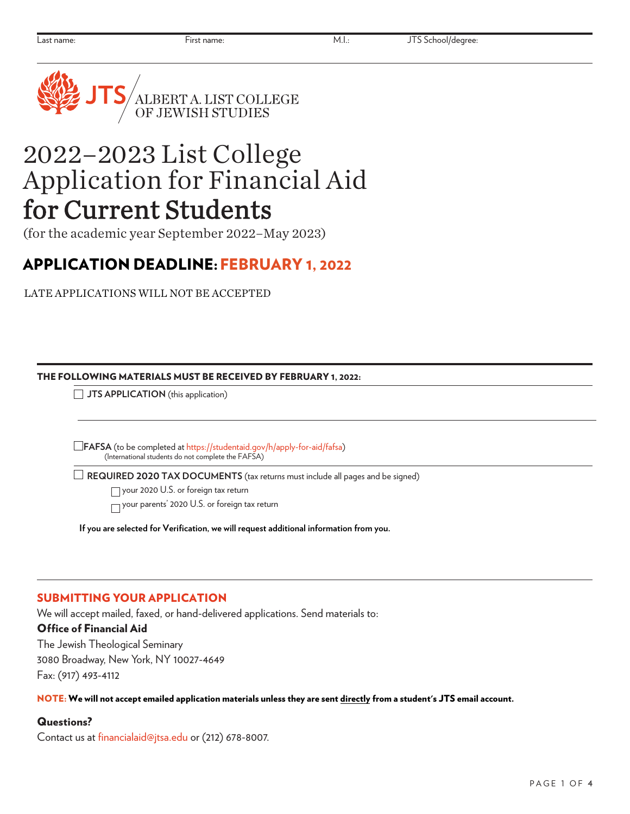

# 2022–2023 List College Application for Financial Aid for Current Students

(for the academic year September 2022–May 2023)

# APPLICATION DEADLINE:FEBRUARY 1, 2022

LATE APPLICATIONS WILL NOT BE ACCEPTED

### THE FOLLOWING MATERIALS MUST BE RECEIVED BY FEBRUARY 1, 2022:

**JTS APPLICATION** (this application)

 **FAFSA** (to be completed at <https://studentaid.gov/h/apply-for-aid/fafsa>) (International students do not complete the FAFSA)

**REQUIRED 2020 TAX DOCUMENTS** (tax returns must include all pages and be signed)

your 2020 U.S. or foreign tax return

your parents' 2020 U.S. or foreign tax return

**If you are selected for Verification, we will request additional information from you.**

# SUBMITTING YOUR APPLICATION

We will accept mailed, faxed, or hand-delivered applications. Send materials to:

# Office of Financial Aid

The Jewish Theological Seminary 3080 Broadway, New York, NY 10027-4649 Fax: (917) 493-4112

NOTE: We will not accept emailed application materials unless they are sent directly from a student's JTS email account.

# Questions?

Contact us at [financialaid@jtsa.edu](mailto:financialaid@jtsa.edu) or (212) 678-8007.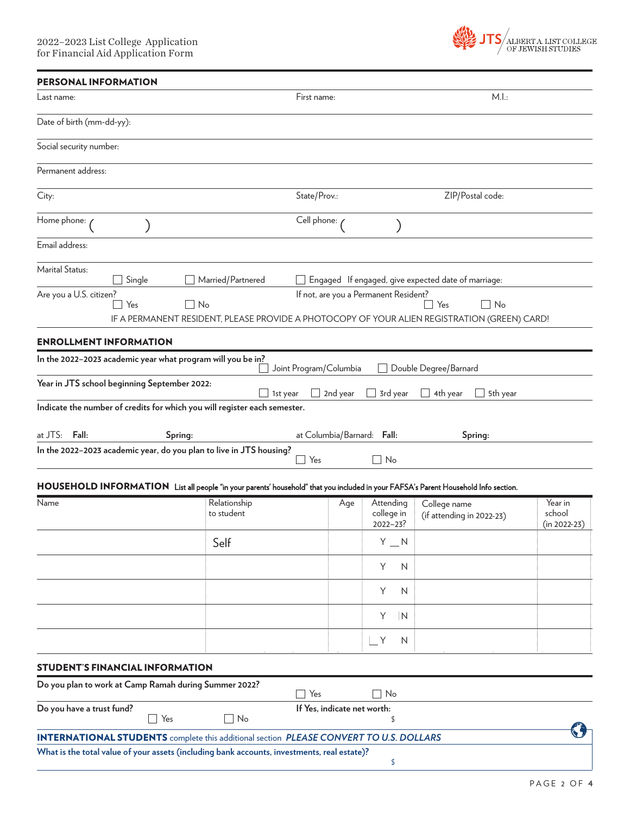

| <b>PERSONAL INFORMATION</b>                              |                                                             |                                                                                               |                        |          |                                       |                                                                                                                                     |                            |
|----------------------------------------------------------|-------------------------------------------------------------|-----------------------------------------------------------------------------------------------|------------------------|----------|---------------------------------------|-------------------------------------------------------------------------------------------------------------------------------------|----------------------------|
| Last name:                                               |                                                             |                                                                                               | First name:            |          |                                       | M.l.:                                                                                                                               |                            |
| Date of birth (mm-dd-yy):                                |                                                             |                                                                                               |                        |          |                                       |                                                                                                                                     |                            |
| Social security number:                                  |                                                             |                                                                                               |                        |          |                                       |                                                                                                                                     |                            |
| Permanent address:                                       |                                                             |                                                                                               |                        |          |                                       |                                                                                                                                     |                            |
| City:                                                    |                                                             |                                                                                               | State/Prov.:           |          |                                       | ZIP/Postal code:                                                                                                                    |                            |
| Home phone: /                                            |                                                             |                                                                                               | Cell phone:            |          |                                       |                                                                                                                                     |                            |
| Email address:                                           |                                                             |                                                                                               |                        |          |                                       |                                                                                                                                     |                            |
| Marital Status:                                          | Single                                                      | Married/Partnered                                                                             |                        |          |                                       | Engaged If engaged, give expected date of marriage:                                                                                 |                            |
| Are you a U.S. citizen?                                  |                                                             |                                                                                               |                        |          | If not, are you a Permanent Resident? |                                                                                                                                     |                            |
|                                                          | Yes                                                         | $\Box$ No                                                                                     |                        |          |                                       | Yes<br>$\Box$ No                                                                                                                    |                            |
|                                                          |                                                             |                                                                                               |                        |          |                                       | IF A PERMANENT RESIDENT, PLEASE PROVIDE A PHOTOCOPY OF YOUR ALIEN REGISTRATION (GREEN) CARD!                                        |                            |
| <b>ENROLLMENT INFORMATION</b>                            |                                                             |                                                                                               |                        |          |                                       |                                                                                                                                     |                            |
|                                                          | In the 2022-2023 academic year what program will you be in? |                                                                                               | Joint Program/Columbia |          |                                       | Double Degree/Barnard                                                                                                               |                            |
|                                                          | Year in JTS school beginning September 2022:                |                                                                                               |                        |          |                                       |                                                                                                                                     |                            |
|                                                          |                                                             | Indicate the number of credits for which you will register each semester.                     | 1st year               | 2nd year | 3rd year                              | 4th year<br>5th year                                                                                                                |                            |
|                                                          |                                                             |                                                                                               |                        |          |                                       |                                                                                                                                     |                            |
| at JTS: Fall:                                            | Spring:                                                     |                                                                                               |                        |          | at Columbia/Barnard: Fall:            | Spring:                                                                                                                             |                            |
|                                                          |                                                             | In the 2022-2023 academic year, do you plan to live in JTS housing?                           |                        |          |                                       |                                                                                                                                     |                            |
|                                                          |                                                             |                                                                                               | Yes<br>$\mathbb{R}$    |          | No                                    |                                                                                                                                     |                            |
|                                                          |                                                             |                                                                                               |                        |          |                                       | HOUSEHOLD INFORMATION List all people "in your parents' household" that you included in your FAFSA's Parent Household Info section. |                            |
| Name                                                     |                                                             | Relationship                                                                                  |                        | Age      | Attending                             | College name                                                                                                                        | Year in                    |
|                                                          |                                                             | to student                                                                                    |                        |          | college in<br>$2022 - 23?$            | (if attending in 2022-23)                                                                                                           | school<br>$(in 2022 - 23)$ |
|                                                          |                                                             | Self                                                                                          |                        |          | $Y_N$                                 |                                                                                                                                     |                            |
|                                                          |                                                             |                                                                                               |                        |          | Y<br>N                                |                                                                                                                                     |                            |
|                                                          |                                                             |                                                                                               |                        |          | Y<br>N                                |                                                                                                                                     |                            |
|                                                          |                                                             |                                                                                               |                        |          | Y<br> N                               |                                                                                                                                     |                            |
|                                                          |                                                             |                                                                                               |                        |          | $\Box$ Y<br>N                         |                                                                                                                                     |                            |
|                                                          | <b>STUDENT'S FINANCIAL INFORMATION</b>                      |                                                                                               |                        |          |                                       |                                                                                                                                     |                            |
|                                                          | Do you plan to work at Camp Ramah during Summer 2022?       |                                                                                               | Yes<br>$\mathbf{I}$    |          | No                                    |                                                                                                                                     |                            |
| Do you have a trust fund?<br>If Yes, indicate net worth: |                                                             |                                                                                               |                        |          |                                       |                                                                                                                                     |                            |
|                                                          | Yes                                                         | $\Box$ No                                                                                     |                        |          | \$                                    |                                                                                                                                     |                            |
|                                                          |                                                             | <b>INTERNATIONAL STUDENTS</b> complete this additional section PLEASE CONVERT TO U.S. DOLLARS |                        |          |                                       |                                                                                                                                     |                            |
|                                                          |                                                             | What is the total value of your assets (including bank accounts, investments, real estate)?   |                        |          | \$                                    |                                                                                                                                     |                            |
|                                                          |                                                             |                                                                                               |                        |          |                                       |                                                                                                                                     |                            |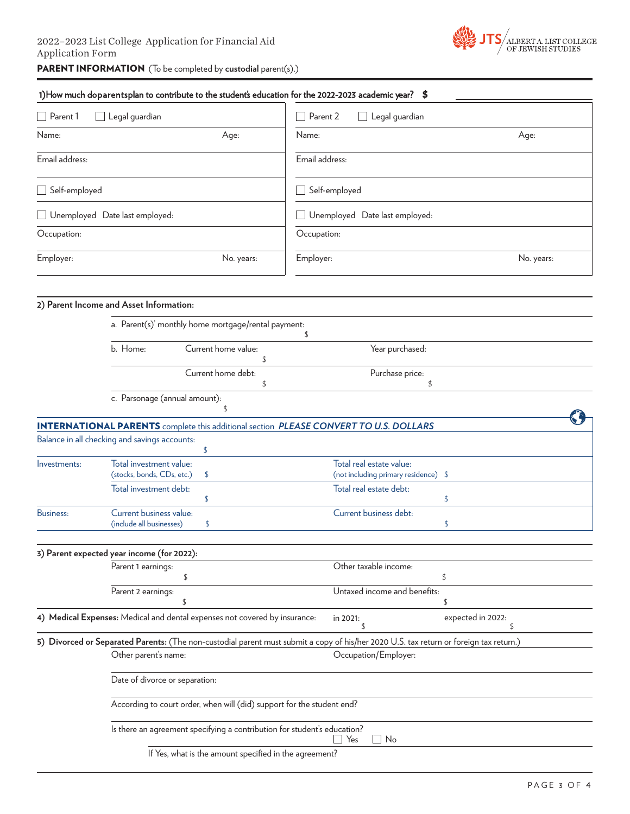

1) How much doparentsplan to contribute to the student's education for the 2022-2023 academic year? \$

| Parent 1                                        | Legal guardian                                         |                                                                            | Parent 2                                        | Legal guardian                                                                                                                         |                   |            |  |             |
|-------------------------------------------------|--------------------------------------------------------|----------------------------------------------------------------------------|-------------------------------------------------|----------------------------------------------------------------------------------------------------------------------------------------|-------------------|------------|--|-------------|
| Name:                                           |                                                        | Age:                                                                       | Name:                                           |                                                                                                                                        |                   | Age:       |  |             |
| Email address:                                  |                                                        |                                                                            |                                                 | Email address:                                                                                                                         |                   |            |  |             |
| Self-employed<br>Unemployed Date last employed: |                                                        |                                                                            | Self-employed<br>Unemployed Date last employed: |                                                                                                                                        |                   |            |  |             |
|                                                 |                                                        |                                                                            |                                                 |                                                                                                                                        |                   |            |  | Occupation: |
| Employer:                                       |                                                        | No. years:                                                                 | Employer:                                       |                                                                                                                                        |                   | No. years: |  |             |
|                                                 | 2) Parent Income and Asset Information:                | a. Parent(s)' monthly home mortgage/rental payment:                        |                                                 |                                                                                                                                        |                   |            |  |             |
|                                                 | b. Home:                                               | Current home value:                                                        | \$                                              | Year purchased:                                                                                                                        |                   |            |  |             |
|                                                 |                                                        | \$                                                                         |                                                 |                                                                                                                                        |                   |            |  |             |
|                                                 |                                                        | Current home debt:<br>\$                                                   |                                                 | Purchase price:<br>\$.                                                                                                                 |                   |            |  |             |
|                                                 | c. Parsonage (annual amount):                          | \$                                                                         |                                                 |                                                                                                                                        |                   |            |  |             |
|                                                 |                                                        |                                                                            |                                                 | <b>INTERNATIONAL PARENTS</b> complete this additional section PLEASE CONVERT TO U.S. DOLLARS                                           |                   |            |  |             |
|                                                 | Balance in all checking and savings accounts:          | \$                                                                         |                                                 |                                                                                                                                        |                   |            |  |             |
| Investments:                                    | Total investment value:<br>(stocks, bonds, CDs, etc.)  | \$                                                                         |                                                 | Total real estate value:<br>(not including primary residence) \$                                                                       |                   |            |  |             |
|                                                 | Total investment debt:                                 | \$                                                                         |                                                 | Total real estate debt:                                                                                                                | \$                |            |  |             |
| <b>Business:</b>                                | Current business value:<br>(include all businesses)    | \$                                                                         |                                                 | Current business debt:                                                                                                                 | \$                |            |  |             |
|                                                 | 3) Parent expected year income (for 2022):             |                                                                            |                                                 |                                                                                                                                        |                   |            |  |             |
|                                                 | Parent 1 earnings:                                     | \$                                                                         |                                                 | Other taxable income:                                                                                                                  | \$                |            |  |             |
|                                                 | Parent 2 earnings:                                     | \$                                                                         |                                                 | Untaxed income and benefits:                                                                                                           | \$                |            |  |             |
|                                                 |                                                        | 4) Medical Expenses: Medical and dental expenses not covered by insurance: |                                                 | in 2021:                                                                                                                               | expected in 2022: |            |  |             |
|                                                 |                                                        |                                                                            |                                                 | 5) Divorced or Separated Parents: (The non-custodial parent must submit a copy of his/her 2020 U.S. tax return or foreign tax return.) |                   |            |  |             |
|                                                 | Other parent's name:                                   |                                                                            |                                                 | Occupation/Employer:                                                                                                                   |                   |            |  |             |
|                                                 |                                                        | Date of divorce or separation:                                             |                                                 |                                                                                                                                        |                   |            |  |             |
|                                                 |                                                        | According to court order, when will (did) support for the student end?     |                                                 |                                                                                                                                        |                   |            |  |             |
|                                                 |                                                        | Is there an agreement specifying a contribution for student's education?   |                                                 | Yes<br>No                                                                                                                              |                   |            |  |             |
|                                                 | If Yes, what is the amount specified in the agreement? |                                                                            |                                                 |                                                                                                                                        |                   |            |  |             |